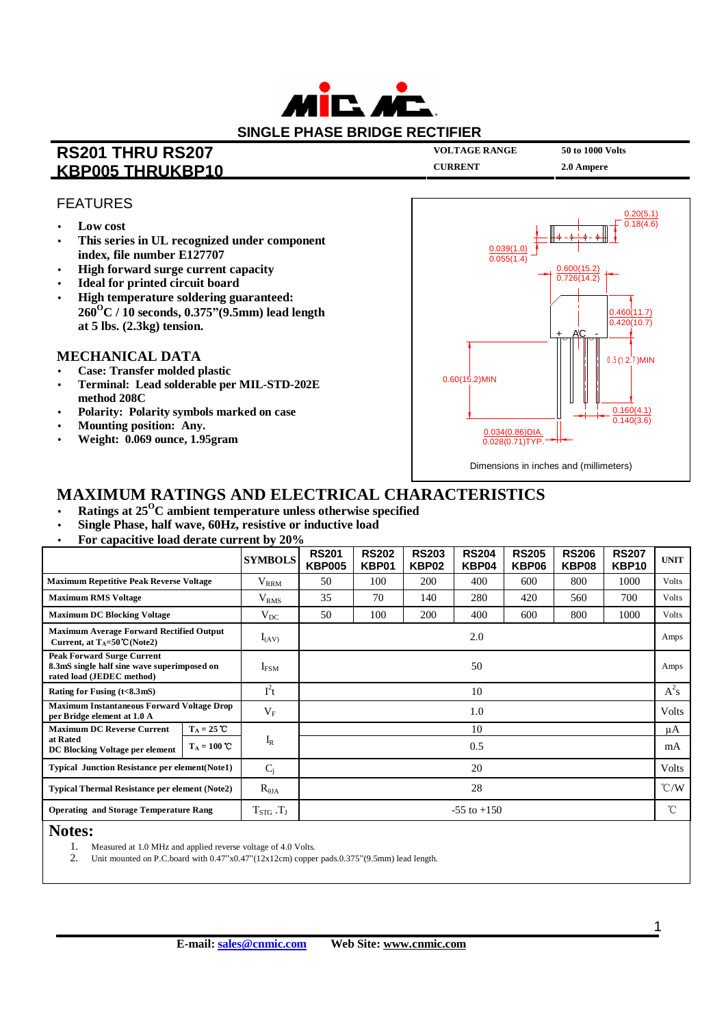

## **RS201 THRU RS207 KBP005 THRUKBP10**

**VOLTAGE RANGE** 

**CURRENT** 

50 to 1000 Volts 2.0 Ampere

**FEATURES** 

- Low cost  $\bullet$
- This series in UL recognized under component index, file number E127707
- High forward surge current capacity
- **Ideal for printed circuit board**
- High temperature soldering guaranteed:  $260^{\circ}$ C / 10 seconds, 0.375"(9.5mm) lead length at  $5$  lbs.  $(2.3kg)$  tension.

## **MECHANICAL DATA**

- **Case: Transfer molded plastic**
- Terminal: Lead solderable per MIL-STD-202E  $\overline{\phantom{a}}$ method 208C
- Polarity: Polarity symbols marked on case  $\bullet$
- Mounting position: Any.
- Weight: 0.069 ounce, 1.95gram



## **MAXIMUM RATINGS AND ELECTRICAL CHARACTERISTICS**

- Ratings at  $25^{\circ}$ C ambient temperature unless otherwise specified
- Single Phase, half wave, 60Hz, resistive or inductive load
- For capacitive load derate current by 20%

|                                                                                                               |                        | <b>SYMBOLS</b>    | <b>RS201</b><br><b>KBP005</b> | <b>RS202</b><br>KBP01 | <b>RS203</b><br>KBP02 | <b>RS204</b><br>KBP04 | <b>RS205</b><br>KBP06 | <b>RS206</b><br>KBP08 | <b>RS207</b><br>KBP <sub>10</sub> | <b>UNIT</b>   |
|---------------------------------------------------------------------------------------------------------------|------------------------|-------------------|-------------------------------|-----------------------|-----------------------|-----------------------|-----------------------|-----------------------|-----------------------------------|---------------|
| <b>Maximum Repetitive Peak Reverse Voltage</b>                                                                |                        | $\rm V_{RRM}$     | 50                            | 100                   | 200                   | 400                   | 600                   | 800                   | 1000                              | Volts         |
| <b>Maximum RMS Voltage</b>                                                                                    |                        | $\rm V_{RMS}$     | 35                            | 70                    | 140                   | 280                   | 420                   | 560                   | 700                               | Volts         |
| <b>Maximum DC Blocking Voltage</b>                                                                            |                        | $V_{DC}$          | 50                            | 100                   | 200                   | 400                   | 600                   | 800                   | 1000                              | <b>Volts</b>  |
| <b>Maximum Average Forward Rectified Output</b><br>Current, at $T_A = 50^{\circ}C(Note2)$                     |                        | $I_{(AV)}$        | 2.0                           |                       |                       |                       |                       |                       |                                   | Amps          |
| <b>Peak Forward Surge Current</b><br>8.3mS single half sine wave superimposed on<br>rated load (JEDEC method) |                        | $I_{FSM}$         | 50                            |                       |                       |                       |                       |                       |                                   | Amps          |
| Rating for Fusing (t<8.3mS)                                                                                   |                        | $I^2t$            | 10                            |                       |                       |                       |                       |                       |                                   | $A^2s$        |
| <b>Maximum Instantaneous Forward Voltage Drop</b><br>per Bridge element at 1.0 A                              |                        | $V_{\rm F}$       | 1.0                           |                       |                       |                       |                       |                       |                                   | Volts         |
| <b>Maximum DC Reverse Current</b><br>at Rated<br>DC Blocking Voltage per element                              | $T_A = 25$ °C          |                   | 10                            |                       |                       |                       |                       |                       |                                   | μA            |
|                                                                                                               | $T_A = 100 \text{ °C}$ | $I_R$             | 0.5                           |                       |                       |                       |                       |                       |                                   | mA            |
| <b>Typical Junction Resistance per element (Note1)</b>                                                        |                        | $C_i$             | 20                            |                       |                       |                       |                       |                       |                                   | <b>Volts</b>  |
| <b>Typical Thermal Resistance per element (Note2)</b>                                                         |                        | $R_{\theta JA}$   | 28                            |                       |                       |                       |                       |                       |                                   | $\degree$ C/W |
| <b>Operating and Storage Temperature Rang</b>                                                                 |                        | $T_{STG}$ . $T_J$ | $-55$ to $+150$               |                       |                       |                       |                       |                       |                                   | °C            |
| $NT - 4 - 7$                                                                                                  |                        |                   |                               |                       |                       |                       |                       |                       |                                   |               |

### **Notes:**

- 1. Measured at 1.0 MHz and applied reverse voltage of 4.0 Volts.
- 2. Unit mounted on P.C.board with 0.47"x0.47"(12x12cm) copper pads.0.375"(9.5mm) lead length.

 $\overline{1}$